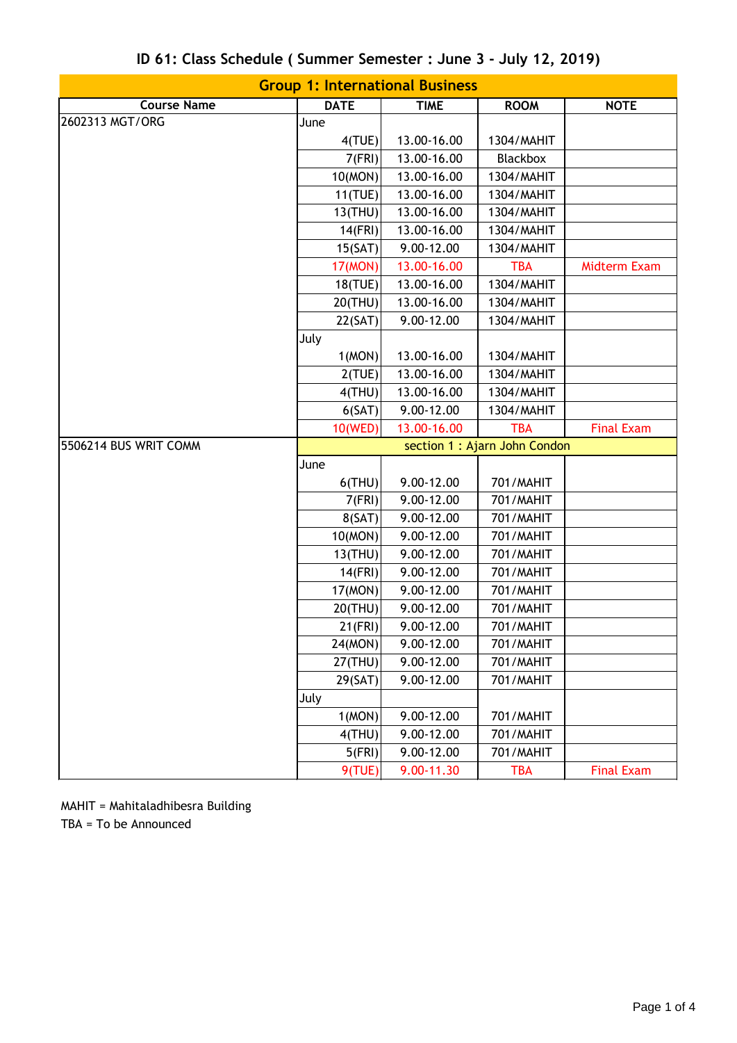| <b>Group 1: International Business</b> |                               |             |                 |                     |  |  |
|----------------------------------------|-------------------------------|-------------|-----------------|---------------------|--|--|
| <b>Course Name</b>                     | <b>DATE</b>                   | <b>TIME</b> | <b>ROOM</b>     | <b>NOTE</b>         |  |  |
| 2602313 MGT/ORG                        | June                          |             |                 |                     |  |  |
|                                        | 4(TUE)                        | 13.00-16.00 | 1304/MAHIT      |                     |  |  |
|                                        | 7(FRI)                        | 13.00-16.00 | <b>Blackbox</b> |                     |  |  |
|                                        | 10(MON)                       | 13.00-16.00 | 1304/MAHIT      |                     |  |  |
|                                        | 11(TUE)                       | 13.00-16.00 | 1304/MAHIT      |                     |  |  |
|                                        | 13(THU)                       | 13.00-16.00 | 1304/MAHIT      |                     |  |  |
|                                        | 14(FRI)                       | 13.00-16.00 | 1304/MAHIT      |                     |  |  |
|                                        | 15(SAT)                       | 9.00-12.00  | 1304/MAHIT      |                     |  |  |
|                                        | 17(MON)                       | 13.00-16.00 | <b>TBA</b>      | <b>Midterm Exam</b> |  |  |
|                                        | 18(TUE)                       | 13.00-16.00 | 1304/MAHIT      |                     |  |  |
|                                        | 20(THU)                       | 13.00-16.00 | 1304/MAHIT      |                     |  |  |
|                                        | 22(SAT)                       | 9.00-12.00  | 1304/MAHIT      |                     |  |  |
|                                        | July                          |             |                 |                     |  |  |
|                                        | 1(MON)                        | 13.00-16.00 | 1304/MAHIT      |                     |  |  |
|                                        | 2(TUE)                        | 13.00-16.00 | 1304/MAHIT      |                     |  |  |
|                                        | $4$ (THU)                     | 13.00-16.00 | 1304/MAHIT      |                     |  |  |
|                                        | 6(SAT)                        | 9.00-12.00  | 1304/MAHIT      |                     |  |  |
|                                        | 10(WED)                       | 13.00-16.00 | <b>TBA</b>      | <b>Final Exam</b>   |  |  |
| 5506214 BUS WRIT COMM                  | section 1 : Ajarn John Condon |             |                 |                     |  |  |
|                                        | June                          |             |                 |                     |  |  |
|                                        | $6$ (THU)                     | 9.00-12.00  | 701/MAHIT       |                     |  |  |
|                                        | 7(FRI)                        | 9.00-12.00  | 701/MAHIT       |                     |  |  |
|                                        | 8(SAT)                        | 9.00-12.00  | 701/MAHIT       |                     |  |  |
|                                        | 10(MON)                       | 9.00-12.00  | 701/MAHIT       |                     |  |  |
|                                        | 13(THU)                       | 9.00-12.00  | 701/MAHIT       |                     |  |  |
|                                        | 14(FRI)                       | 9.00-12.00  | 701/MAHIT       |                     |  |  |
|                                        | 17(MON)                       | 9.00-12.00  | 701/MAHIT       |                     |  |  |
|                                        | 20(THU)                       | 9.00-12.00  | 701/MAHIT       |                     |  |  |
|                                        | $21$ (FRI)                    | 9.00-12.00  | 701/MAHIT       |                     |  |  |
|                                        | 24(MON)                       | 9.00-12.00  | 701/MAHIT       |                     |  |  |
|                                        | 27(THU)                       | 9.00-12.00  | 701/MAHIT       |                     |  |  |
|                                        | 29(SAT)                       | 9.00-12.00  | 701/MAHIT       |                     |  |  |
|                                        | July                          |             |                 |                     |  |  |
|                                        | 1(MON)                        | 9.00-12.00  | 701/MAHIT       |                     |  |  |
|                                        | $4$ (THU)                     | 9.00-12.00  | 701/MAHIT       |                     |  |  |
|                                        | 5(FRI)                        | 9.00-12.00  | 701/MAHIT       |                     |  |  |
|                                        | 9(TUE)                        | 9.00-11.30  | <b>TBA</b>      | <b>Final Exam</b>   |  |  |

## **ID 61: Class Schedule ( Summer Semester : June 3 - July 12, 2019)**

MAHIT = Mahitaladhibesra Building TBA = To be Announced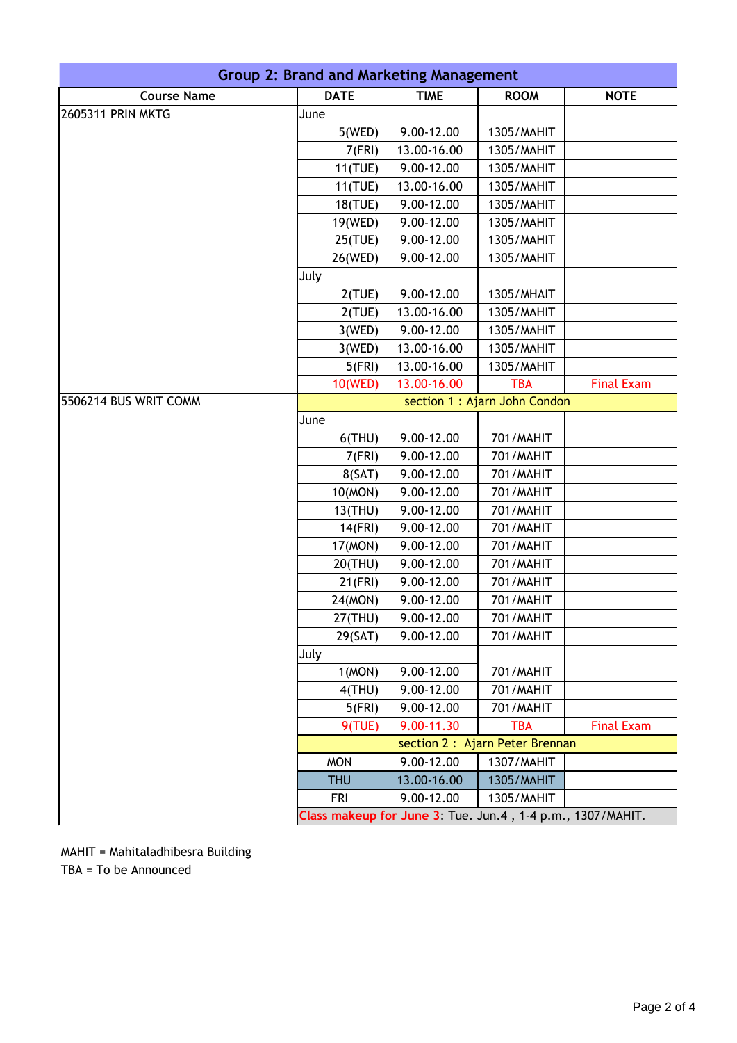| Group 2: Brand and Marketing Management |                               |                                                            |                                 |                   |  |
|-----------------------------------------|-------------------------------|------------------------------------------------------------|---------------------------------|-------------------|--|
| <b>Course Name</b>                      | <b>DATE</b>                   | <b>TIME</b>                                                | <b>ROOM</b>                     | <b>NOTE</b>       |  |
| <b>2605311 PRIN MKTG</b>                | June                          |                                                            |                                 |                   |  |
|                                         | 5(WED)                        | 9.00-12.00                                                 | 1305/MAHIT                      |                   |  |
|                                         | 7(FRI)                        | 13.00-16.00                                                | 1305/MAHIT                      |                   |  |
|                                         | 11(TUE)                       | 9.00-12.00                                                 | 1305/MAHIT                      |                   |  |
|                                         | 11(TUE)                       | 13.00-16.00                                                | 1305/MAHIT                      |                   |  |
|                                         | 18(TUE)                       | 9.00-12.00                                                 | 1305/MAHIT                      |                   |  |
|                                         | 19(WED)                       | 9.00-12.00                                                 | 1305/MAHIT                      |                   |  |
|                                         | 25(TUE)                       | 9.00-12.00                                                 | 1305/MAHIT                      |                   |  |
|                                         | 26(WED)                       | 9.00-12.00                                                 | 1305/MAHIT                      |                   |  |
|                                         | July                          |                                                            |                                 |                   |  |
|                                         | 2(TUE)                        | 9.00-12.00                                                 | 1305/MHAIT                      |                   |  |
|                                         | 2(TUE)                        | 13.00-16.00                                                | 1305/MAHIT                      |                   |  |
|                                         | 3(WED)                        | 9.00-12.00                                                 | 1305/MAHIT                      |                   |  |
|                                         | 3(WED)                        | 13.00-16.00                                                | 1305/MAHIT                      |                   |  |
|                                         | 5(FRI)                        | 13.00-16.00                                                | 1305/MAHIT                      |                   |  |
|                                         | 10(WED)                       | 13.00-16.00                                                | <b>TBA</b>                      | <b>Final Exam</b> |  |
| 5506214 BUS WRIT COMM                   | section 1 : Ajarn John Condon |                                                            |                                 |                   |  |
|                                         | June                          |                                                            |                                 |                   |  |
|                                         | $6$ (THU)                     | 9.00-12.00                                                 | 701/MAHIT                       |                   |  |
|                                         | 7(FRI)                        | 9.00-12.00                                                 | 701/MAHIT                       |                   |  |
|                                         | 8(SAT)                        | 9.00-12.00                                                 | 701/MAHIT                       |                   |  |
|                                         | 10(MON)                       | 9.00-12.00                                                 | 701/MAHIT                       |                   |  |
|                                         | 13(THU)                       | 9.00-12.00                                                 | 701/MAHIT                       |                   |  |
|                                         | 14(FRI)                       | 9.00-12.00                                                 | 701/MAHIT                       |                   |  |
|                                         | 17(MON)                       | 9.00-12.00                                                 | 701/MAHIT                       |                   |  |
|                                         | 20(THU)                       | 9.00-12.00                                                 | 701/MAHIT                       |                   |  |
|                                         | 21(FRI)                       | 9.00-12.00                                                 | 701/MAHIT                       |                   |  |
|                                         | 24(MON)                       | 9.00-12.00                                                 | 701/MAHIT                       |                   |  |
|                                         | $27$ (THU)                    | 9.00-12.00                                                 | 701/MAHIT                       |                   |  |
|                                         | 29(SAT)                       | 9.00-12.00                                                 | 701/MAHIT                       |                   |  |
|                                         | July                          |                                                            |                                 |                   |  |
|                                         | 1(MON)                        | 9.00-12.00                                                 | 701/MAHIT                       |                   |  |
|                                         | $4$ (THU)                     | 9.00-12.00                                                 | 701/MAHIT                       |                   |  |
|                                         | 5(FRI)                        | 9.00-12.00                                                 | 701/MAHIT                       |                   |  |
|                                         | 9(TUE)                        | 9.00-11.30                                                 | <b>TBA</b>                      | <b>Final Exam</b> |  |
|                                         |                               |                                                            | section 2 : Ajarn Peter Brennan |                   |  |
|                                         | <b>MON</b>                    | 9.00-12.00                                                 | 1307/MAHIT                      |                   |  |
|                                         | <b>THU</b>                    | 13.00-16.00                                                | 1305/MAHIT                      |                   |  |
|                                         | <b>FRI</b>                    | 9.00-12.00                                                 | 1305/MAHIT                      |                   |  |
|                                         |                               | Class makeup for June 3: Tue. Jun.4, 1-4 p.m., 1307/MAHIT. |                                 |                   |  |

MAHIT = Mahitaladhibesra Building TBA = To be Announced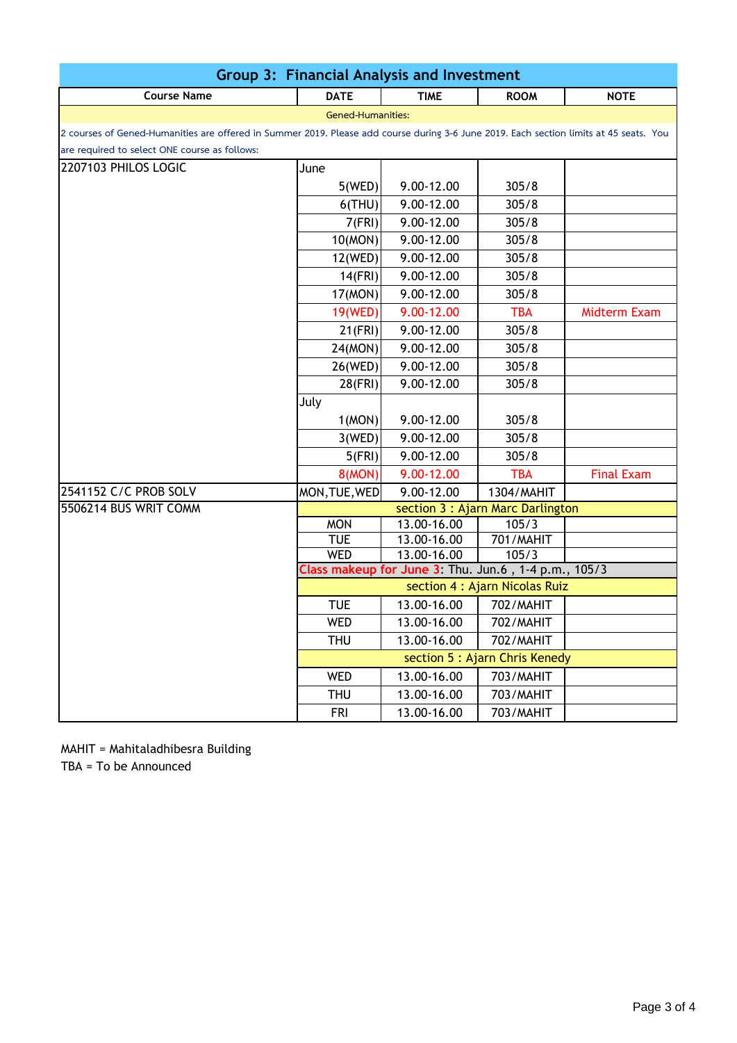| <b>Course Name</b><br><b>DATE</b><br><b>TIME</b><br><b>NOTE</b><br><b>ROOM</b>                                                         |                                                      |  |  |  |  |  |
|----------------------------------------------------------------------------------------------------------------------------------------|------------------------------------------------------|--|--|--|--|--|
| <b>Gened-Humanities:</b>                                                                                                               |                                                      |  |  |  |  |  |
| 2 courses of Gened-Humanities are offered in Summer 2019. Please add course during 3-6 June 2019. Each section limits at 45 seats. You |                                                      |  |  |  |  |  |
| are required to select ONE course as follows:                                                                                          |                                                      |  |  |  |  |  |
| 2207103 PHILOS LOGIC<br>June                                                                                                           |                                                      |  |  |  |  |  |
| 9.00-12.00<br>305/8<br>5(WED)                                                                                                          |                                                      |  |  |  |  |  |
| $6$ (THU)<br>9.00-12.00<br>305/8                                                                                                       |                                                      |  |  |  |  |  |
| 7(FRI)<br>9.00-12.00<br>305/8                                                                                                          |                                                      |  |  |  |  |  |
| 10(MON)<br>9.00-12.00<br>305/8                                                                                                         |                                                      |  |  |  |  |  |
| 12(WED)<br>9.00-12.00<br>305/8                                                                                                         |                                                      |  |  |  |  |  |
| 9.00-12.00<br>14(FRI)<br>305/8                                                                                                         |                                                      |  |  |  |  |  |
| 17(MON)<br>9.00-12.00<br>305/8                                                                                                         |                                                      |  |  |  |  |  |
| 19(WED)<br>9.00-12.00<br><b>TBA</b><br><b>Midterm Exam</b>                                                                             |                                                      |  |  |  |  |  |
| $21$ (FRI)<br>9.00-12.00<br>305/8                                                                                                      |                                                      |  |  |  |  |  |
| 9.00-12.00<br>305/8<br>24(MON)                                                                                                         |                                                      |  |  |  |  |  |
| 9.00-12.00<br>26(WED)<br>305/8                                                                                                         |                                                      |  |  |  |  |  |
| 9.00-12.00<br>28(FRI)<br>305/8                                                                                                         |                                                      |  |  |  |  |  |
| July                                                                                                                                   |                                                      |  |  |  |  |  |
| 1(MON)<br>9.00-12.00<br>305/8                                                                                                          |                                                      |  |  |  |  |  |
| 9.00-12.00<br>3(WED)<br>305/8                                                                                                          |                                                      |  |  |  |  |  |
| 9.00-12.00<br>5(FRI)<br>305/8                                                                                                          |                                                      |  |  |  |  |  |
| <b>8(MON)</b><br>9.00-12.00<br><b>TBA</b><br><b>Final Exam</b>                                                                         |                                                      |  |  |  |  |  |
| 2541152 C/C PROB SOLV<br>MON, TUE, WED<br>9.00-12.00<br>1304/MAHIT                                                                     |                                                      |  |  |  |  |  |
| 5506214 BUS WRIT COMM<br>section 3 : Ajarn Marc Darlington                                                                             |                                                      |  |  |  |  |  |
| <b>MON</b><br>13.00-16.00<br>105/3                                                                                                     |                                                      |  |  |  |  |  |
| <b>TUE</b><br>701/MAHIT<br>13.00-16.00                                                                                                 |                                                      |  |  |  |  |  |
| <b>WED</b><br>13.00-16.00<br>105/3                                                                                                     |                                                      |  |  |  |  |  |
| section 4 : Ajarn Nicolas Ruiz                                                                                                         | Class makeup for June 3: Thu. Jun.6, 1-4 p.m., 105/3 |  |  |  |  |  |
| <b>TUE</b><br>13.00-16.00<br>702/MAHIT                                                                                                 |                                                      |  |  |  |  |  |
| WED                                                                                                                                    |                                                      |  |  |  |  |  |
| 13.00-16.00<br>702/MAHIT<br>13.00-16.00<br>702/MAHIT<br><b>THU</b>                                                                     |                                                      |  |  |  |  |  |
| section 5 : Ajarn Chris Kenedy                                                                                                         |                                                      |  |  |  |  |  |
| <b>WED</b><br>13.00-16.00<br>703/MAHIT                                                                                                 |                                                      |  |  |  |  |  |
| <b>THU</b><br>13.00-16.00<br>703/MAHIT                                                                                                 |                                                      |  |  |  |  |  |
| 13.00-16.00<br><b>FRI</b><br>703/MAHIT                                                                                                 |                                                      |  |  |  |  |  |

MAHIT = Mahitaladhibesra Building

TBA = To be Announced